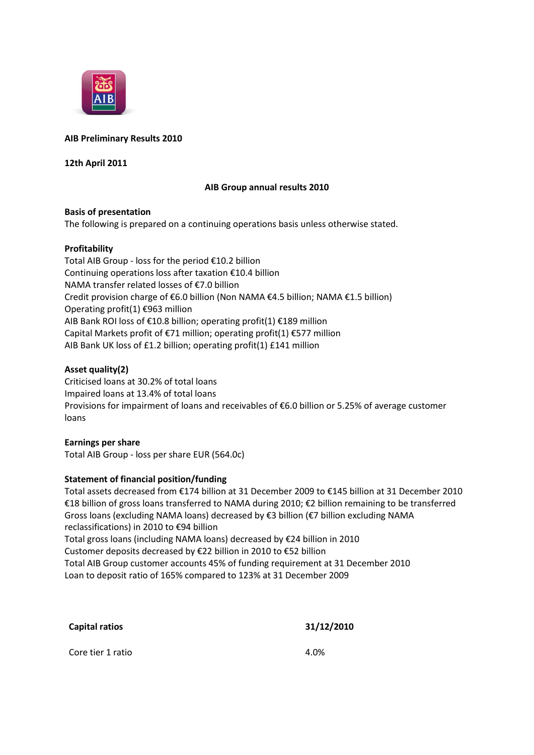

# **AIB Preliminary Results 2010**

**12th April 2011**

### **AIB Group annual results 2010**

### **Basis of presentation**

The following is prepared on a continuing operations basis unless otherwise stated.

### **Profitability**

Total AIB Group - loss for the period €10.2 billion Continuing operations loss after taxation €10.4 billion NAMA transfer related losses of €7.0 billion Credit provision charge of €6.0 billion (Non NAMA €4.5 billion; NAMA €1.5 billion) Operating profit(1) €963 million AIB Bank ROI loss of €10.8 billion; operating profit(1) €189 million Capital Markets profit of €71 million; operating profit(1) €577 million AIB Bank UK loss of £1.2 billion; operating profit(1) £141 million

# **Asset quality(2)**

Criticised loans at 30.2% of total loans Impaired loans at 13.4% of total loans Provisions for impairment of loans and receivables of €6.0 billion or 5.25% of average customer loans

# **Earnings per share**

Total AIB Group - loss per share EUR (564.0c)

# **Statement of financial position/funding**

Total assets decreased from €174 billion at 31 December 2009 to €145 billion at 31 December 2010 €18 billion of gross loans transferred to NAMA during 2010; €2 billion remaining to be transferred Gross loans (excluding NAMA loans) decreased by €3 billion (€7 billion excluding NAMA reclassifications) in 2010 to €94 billion Total gross loans (including NAMA loans) decreased by €24 billion in 2010 Customer deposits decreased by €22 billion in 2010 to €52 billion Total AIB Group customer accounts 45% of funding requirement at 31 December 2010

**Capital ratios 31/12/2010**

Loan to deposit ratio of 165% compared to 123% at 31 December 2009

| <b>Capital ratios</b> | 31/1. |
|-----------------------|-------|
| Core tier 1 ratio     | 4.0%  |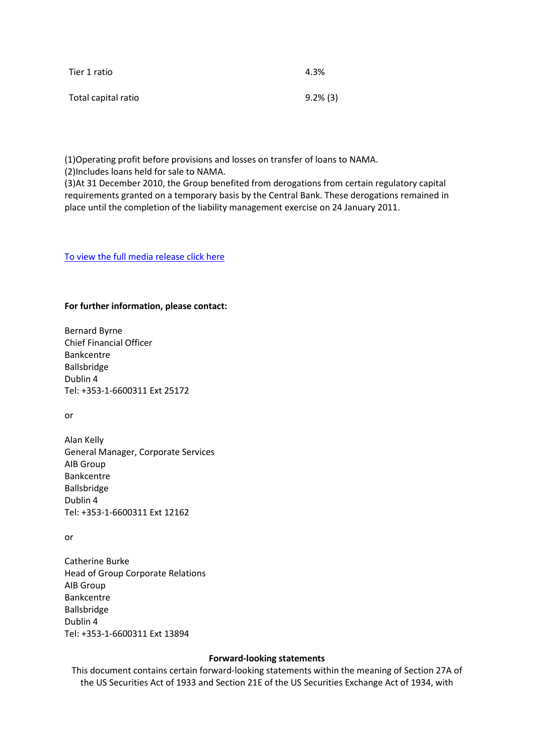| Tier 1 ratio        | 4.3%        |
|---------------------|-------------|
| Total capital ratio | $9.2\%$ (3) |

(1)Operating profit before provisions and losses on transfer of loans to NAMA. (2)Includes loans held for sale to NAMA.

(3)At 31 December 2010, the Group benefited from derogations from certain regulatory capital requirements granted on a temporary basis by the Central Bank. These derogations remained in place until the completion of the liability management exercise on 24 January 2011.

[To view the full media release click here](http://www.aib.ie/servlet/ContentServer?pagename=AIB_Investor_Relations/AIB_Download/aib_d_download&c=AIB_Download&cid=1298045193175&channel=IRFP)

#### **For further information, please contact:**

Bernard Byrne Chief Financial Officer Bankcentre Ballsbridge Dublin 4 Tel: +353-1-6600311 Ext 25172

or

Alan Kelly General Manager, Corporate Services AIB Group Bankcentre Ballsbridge Dublin 4 Tel: +353-1-6600311 Ext 12162

or

Catherine Burke Head of Group Corporate Relations AIB Group Bankcentre Ballsbridge Dublin 4 Tel: +353-1-6600311 Ext 13894

#### **Forward-looking statements**

This document contains certain forward-looking statements within the meaning of Section 27A of the US Securities Act of 1933 and Section 21E of the US Securities Exchange Act of 1934, with